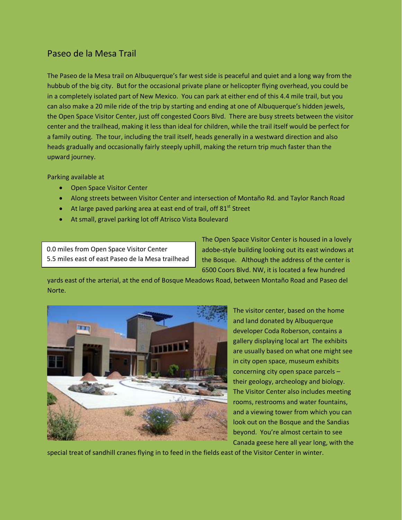## Paseo de la Mesa Trail

The Paseo de la Mesa trail on Albuquerque's far west side is peaceful and quiet and a long way from the hubbub of the big city. But for the occasional private plane or helicopter flying overhead, you could be in a completely isolated part of New Mexico. You can park at either end of this 4.4 mile trail, but you can also make a 20 mile ride of the trip by starting and ending at one of Albuquerque's hidden jewels, the Open Space Visitor Center, just off congested Coors Blvd. There are busy streets between the visitor center and the trailhead, making it less than ideal for children, while the trail itself would be perfect for a family outing. The tour, including the trail itself, heads generally in a westward direction and also heads gradually and occasionally fairly steeply uphill, making the return trip much faster than the upward journey.

Parking available at

- Open Space Visitor Center
- Along streets between Visitor Center and intersection of Montaño Rd. and Taylor Ranch Road
- At large paved parking area at east end of trail, off  $81<sup>st</sup>$  Street
- At small, gravel parking lot off Atrisco Vista Boulevard

0.0 miles from Open Space Visitor Center 5.5 miles east of east Paseo de la Mesa trailhead The Open Space Visitor Center is housed in a lovely adobe-style building looking out its east windows at the Bosque. Although the address of the center is 6500 Coors Blvd. NW, it is located a few hundred

yards east of the arterial, at the end of Bosque Meadows Road, between Montaño Road and Paseo del Norte.



The visitor center, based on the home and land donated by Albuquerque developer Coda Roberson, contains a gallery displaying local art The exhibits are usually based on what one might see in city open space, museum exhibits concerning city open space parcels – their geology, archeology and biology. The Visitor Center also includes meeting rooms, restrooms and water fountains, and a viewing tower from which you can look out on the Bosque and the Sandias beyond. You're almost certain to see Canada geese here all year long, with the

special treat of sandhill cranes flying in to feed in the fields east of the Visitor Center in winter.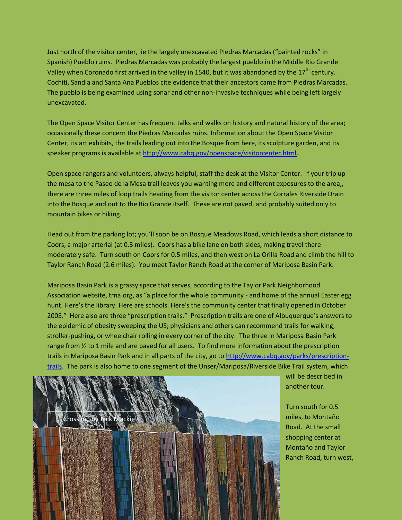Just north of the visitor center, lie the largely unexcavated Piedras Marcadas ("painted rocks" in Spanish) Pueblo ruins. Piedras Marcadas was probably the largest pueblo in the Middle Rio Grande Valley when Coronado first arrived in the valley in 1540, but it was abandoned by the  $17<sup>th</sup>$  century. Cochiti, Sandia and Santa Ana Pueblos cite evidence that their ancestors came from Piedras Marcadas. The pueblo is being examined using sonar and other non-invasive techniques while being left largely unexcavated.

The Open Space Visitor Center has frequent talks and walks on history and natural history of the area; occasionally these concern the Piedras Marcadas ruins. Information about the Open Space Visitor Center, its art exhibits, the trails leading out into the Bosque from here, its sculpture garden, and its speaker programs is available a[t http://www.cabq.gov/openspace/visitorcenter.html.](http://www.cabq.gov/openspace/visitorcenter.html)

Open space rangers and volunteers, always helpful, staff the desk at the Visitor Center. If your trip up the mesa to the Paseo de la Mesa trail leaves you wanting more and different exposures to the area,, there are three miles of loop trails heading from the visitor center across the Corrales Riverside Drain into the Bosque and out to the Rio Grande itself. These are not paved, and probably suited only to mountain bikes or hiking.

Head out from the parking lot; you'll soon be on Bosque Meadows Road, which leads a short distance to Coors, a major arterial (at 0.3 miles). Coors has a bike lane on both sides, making travel there moderately safe. Turn south on Coors for 0.5 miles, and then west on La Orilla Road and climb the hill to Taylor Ranch Road (2.6 miles). You meet Taylor Ranch Road at the corner of Mariposa Basin Park.

Mariposa Basin Park is a grassy space that serves, according to the Taylor Park Neighborhood Association website, trna.org, as "a place for the whole community - and home of the annual Easter egg hunt. Here's the library. Here are schools. Here's the community center that finally opened in October 2005." Here also are three "prescription trails." Prescription trails are one of Albuquerque's answers to the epidemic of obesity sweeping the US; physicians and others can recommend trails for walking, stroller-pushing, or wheelchair rolling in every corner of the city. The three in Mariposa Basin Park range from ½ to 1 mile and are paved for all users. To find more information about the prescription trails in Mariposa Basin Park and in all parts of the city, go to [http://www.cabq.gov/parks/prescription](http://www.cabq.gov/parks/prescription-trails)[trails.](http://www.cabq.gov/parks/prescription-trails) The park is also home to one segment of the Unser/Mariposa/Riverside Bike Trail system, which



will be described in another tour.

Turn south for 0.5 miles, to Montaño Road. At the small shopping center at Montaño and Taylor Ranch Road, turn west,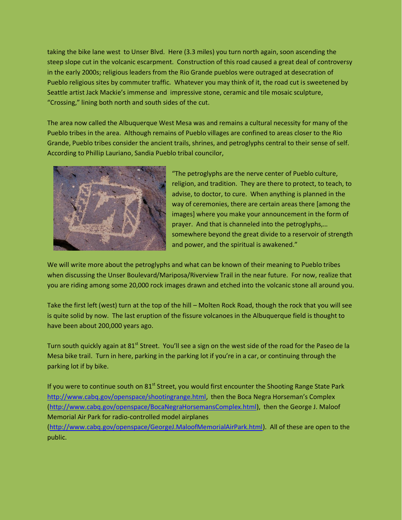taking the bike lane west to Unser Blvd. Here (3.3 miles) you turn north again, soon ascending the steep slope cut in the volcanic escarpment. Construction of this road caused a great deal of controversy in the early 2000s; religious leaders from the Rio Grande pueblos were outraged at desecration of Pueblo religious sites by commuter traffic. Whatever you may think of it, the road cut is sweetened by Seattle artist Jack Mackie's immense and impressive stone, ceramic and tile mosaic sculpture, "Crossing," lining both north and south sides of the cut.

The area now called the Albuquerque West Mesa was and remains a cultural necessity for many of the Pueblo tribes in the area. Although remains of Pueblo villages are confined to areas closer to the Rio Grande, Pueblo tribes consider the ancient trails, shrines, and petroglyphs central to their sense of self. According to Phillip Lauriano, Sandia Pueblo tribal councilor,



"The petroglyphs are the nerve center of Pueblo culture, religion, and tradition. They are there to protect, to teach, to advise, to doctor, to cure. When anything is planned in the way of ceremonies, there are certain areas there [among the images] where you make your announcement in the form of prayer. And that is channeled into the petroglyphs,… somewhere beyond the great divide to a reservoir of strength and power, and the spiritual is awakened."

We will write more about the petroglyphs and what can be known of their meaning to Pueblo tribes when discussing the Unser Boulevard/Mariposa/Riverview Trail in the near future. For now, realize that you are riding among some 20,000 rock images drawn and etched into the volcanic stone all around you.

Take the first left (west) turn at the top of the hill – Molten Rock Road, though the rock that you will see is quite solid by now. The last eruption of the fissure volcanoes in the Albuquerque field is thought to have been about 200,000 years ago.

Turn south quickly again at 81<sup>st</sup> Street. You'll see a sign on the west side of the road for the Paseo de la Mesa bike trail. Turn in here, parking in the parking lot if you're in a car, or continuing through the parking lot if by bike.

If you were to continue south on 81<sup>st</sup> Street, you would first encounter the Shooting Range State Park [http://www.cabq.gov/openspace/shootingrange.html,](http://www.cabq.gov/openspace/shootingrange.html) then the Boca Negra Horseman's Complex [\(http://www.cabq.gov/openspace/BocaNegraHorsemansComplex.html\)](http://www.cabq.gov/openspace/BocaNegraHorsemansComplex.html), then the George J. Maloof Memorial Air Park for radio-controlled model airplanes

[\(http://www.cabq.gov/openspace/GeorgeJ.MaloofMemorialAirPark.html\)](http://www.cabq.gov/openspace/GeorgeJ.MaloofMemorialAirPark.html). All of these are open to the public.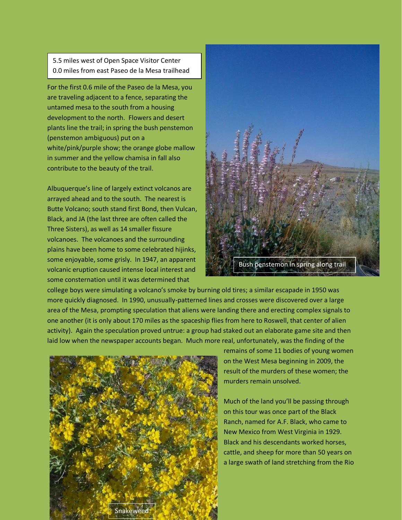5.5 miles west of Open Space Visitor Center 0.0 miles from east Paseo de la Mesa trailhead

For the first 0.6 mile of the Paseo de la Mesa, you are traveling adjacent to a fence, separating the untamed mesa to the south from a housing development to the north. Flowers and desert plants line the trail; in spring the bush penstemon (penstemon ambiguous) put on a white/pink/purple show; the orange globe mallow in summer and the yellow chamisa in fall also contribute to the beauty of the trail.

Albuquerque's line of largely extinct volcanos are arrayed ahead and to the south. The nearest is Butte Volcano; south stand first Bond, then Vulcan, Black, and JA (the last three are often called the Three Sisters), as well as 14 smaller fissure volcanoes. The volcanoes and the surrounding plains have been home to some celebrated hijinks, some enjoyable, some grisly. In 1947, an apparent volcanic eruption caused intense local interest and some consternation until it was determined that



college boys were simulating a volcano's smoke by burning old tires; a similar escapade in 1950 was more quickly diagnosed. In 1990, unusually-patterned lines and crosses were discovered over a large area of the Mesa, prompting speculation that aliens were landing there and erecting complex signals to one another (it is only about 170 miles as the spaceship flies from here to Roswell, that center of alien activity). Again the speculation proved untrue: a group had staked out an elaborate game site and then laid low when the newspaper accounts began. Much more real, unfortunately, was the finding of the



remains of some 11 bodies of young women on the West Mesa beginning in 2009, the result of the murders of these women; the murders remain unsolved.

Much of the land you'll be passing through on this tour was once part of the Black Ranch, named for A.F. Black, who came to New Mexico from West Virginia in 1929. Black and his descendants worked horses, cattle, and sheep for more than 50 years on a large swath of land stretching from the Rio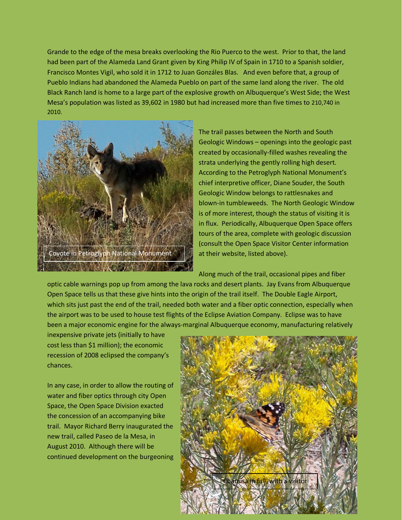Grande to the edge of the mesa breaks overlooking the Rio Puerco to the west. Prior to that, the land had been part of the Alameda Land Grant given by King Philip IV of Spain in 1710 to a Spanish soldier, Francisco Montes Vigil, who sold it in 1712 to Juan Gonzáles Blas. And even before that, a group of Pueblo Indians had abandoned the Alameda Pueblo on part of the same land along the river. The old Black Ranch land is home to a large part of the explosive growth on Albuquerque's West Side; the West Mesa's population was listed as 39,602 in 1980 but had increased more than five times to 210,740 in 2010.



The trail passes between the North and South Geologic Windows – openings into the geologic past created by occasionally-filled washes revealing the strata underlying the gently rolling high desert. According to the Petroglyph National Monument's chief interpretive officer, Diane Souder, the South Geologic Window belongs to rattlesnakes and blown-in tumbleweeds. The North Geologic Window is of more interest, though the status of visiting it is in flux. Periodically, Albuquerque Open Space offers tours of the area, complete with geologic discussion (consult the Open Space Visitor Center information at their website, listed above).

Along much of the trail, occasional pipes and fiber

optic cable warnings pop up from among the lava rocks and desert plants. Jay Evans from Albuquerque Open Space tells us that these give hints into the origin of the trail itself. The Double Eagle Airport, which sits just past the end of the trail, needed both water and a fiber optic connection, especially when the airport was to be used to house test flights of the Eclipse Aviation Company. Eclipse was to have been a major economic engine for the always-marginal Albuquerque economy, manufacturing relatively

inexpensive private jets (initially to have cost less than \$1 million); the economic recession of 2008 eclipsed the company's chances.

In any case, in order to allow the routing of water and fiber optics through city Open Space, the Open Space Division exacted the concession of an accompanying bike trail. Mayor Richard Berry inaugurated the new trail, called Paseo de la Mesa, in August 2010. Although there will be continued development on the burgeoning

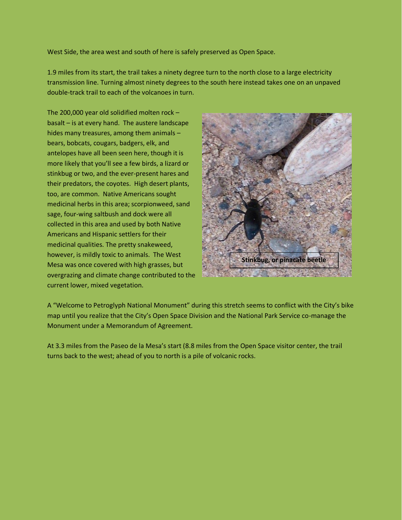West Side, the area west and south of here is safely preserved as Open Space.

1.9 miles from its start, the trail takes a ninety degree turn to the north close to a large electricity transmission line. Turning almost ninety degrees to the south here instead takes one on an unpaved double-track trail to each of the volcanoes in turn.

The 200,000 year old solidified molten rock – basalt – is at every hand. The austere landscape hides many treasures, among them animals – bears, bobcats, cougars, badgers, elk, and antelopes have all been seen here, though it is more likely that you'll see a few birds, a lizard or stinkbug or two, and the ever-present hares and their predators, the coyotes. High desert plants, too, are common. Native Americans sought medicinal herbs in this area; scorpionweed, sand sage, four-wing saltbush and dock were all collected in this area and used by both Native Americans and Hispanic settlers for their medicinal qualities. The pretty snakeweed, however, is mildly toxic to animals. The West Mesa was once covered with high grasses, but overgrazing and climate change contributed to the current lower, mixed vegetation.



A "Welcome to Petroglyph National Monument" during this stretch seems to conflict with the City's bike map until you realize that the City's Open Space Division and the National Park Service co-manage the Monument under a Memorandum of Agreement.

At 3.3 miles from the Paseo de la Mesa's start (8.8 miles from the Open Space visitor center, the trail turns back to the west; ahead of you to north is a pile of volcanic rocks.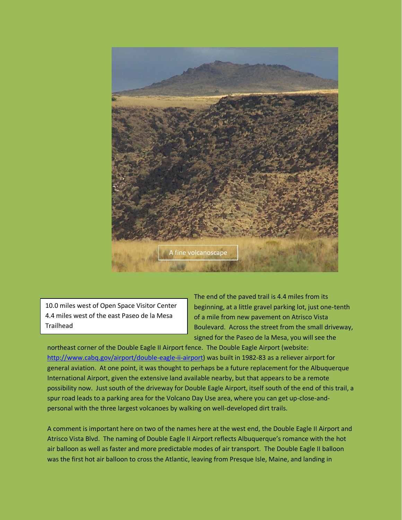

10.0 miles west of Open Space Visitor Center 4.4 miles west of the east Paseo de la Mesa Trailhead

The end of the paved trail is 4.4 miles from its beginning, at a little gravel parking lot, just one-tenth of a mile from new pavement on Atrisco Vista Boulevard. Across the street from the small driveway, signed for the Paseo de la Mesa, you will see the

northeast corner of the Double Eagle II Airport fence. The Double Eagle Airport (website: [http://www.cabq.gov/airport/double-eagle-ii-airport\)](http://www.cabq.gov/airport/double-eagle-ii-airport) was built in 1982-83 as a reliever airport for general aviation. At one point, it was thought to perhaps be a future replacement for the Albuquerque International Airport, given the extensive land available nearby, but that appears to be a remote possibility now. Just south of the driveway for Double Eagle Airport, itself south of the end of this trail, a spur road leads to a parking area for the Volcano Day Use area, where you can get up-close-andpersonal with the three largest volcanoes by walking on well-developed dirt trails.

A comment is important here on two of the names here at the west end, the Double Eagle II Airport and Atrisco Vista Blvd. The naming of Double Eagle II Airport reflects Albuquerque's romance with the hot air balloon as well as faster and more predictable modes of air transport. The Double Eagle II balloon was the first hot air balloon to cross the Atlantic, leaving from Presque Isle, Maine, and landing in